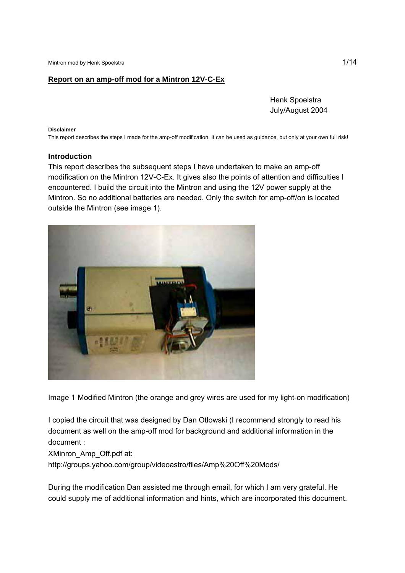## **Report on an amp-off mod for a Mintron 12V-C-Ex**

 Henk Spoelstra July/August 2004

#### **Disclaimer**

This report describes the steps I made for the amp-off modification. It can be used as guidance, but only at your own full risk!

#### **Introduction**

This report describes the subsequent steps I have undertaken to make an amp-off modification on the Mintron 12V-C-Ex. It gives also the points of attention and difficulties I encountered. I build the circuit into the Mintron and using the 12V power supply at the Mintron. So no additional batteries are needed. Only the switch for amp-off/on is located outside the Mintron (see image 1).



Image 1 Modified Mintron (the orange and grey wires are used for my light-on modification)

I copied the circuit that was designed by Dan Otlowski (I recommend strongly to read his document as well on the amp-off mod for background and additional information in the document :

XMinron\_Amp\_Off.pdf at:

http://groups.yahoo.com/group/videoastro/files/Amp%20Off%20Mods/

During the modification Dan assisted me through email, for which I am very grateful. He could supply me of additional information and hints, which are incorporated this document.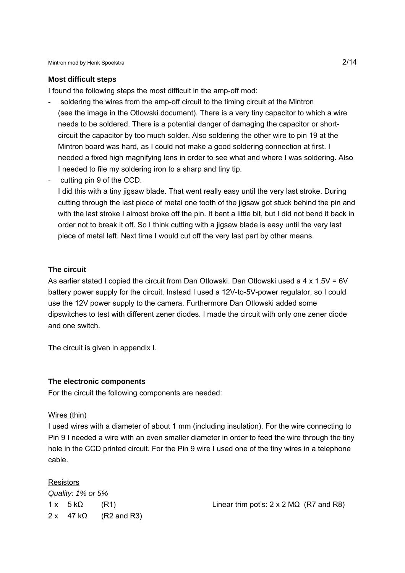#### **Most difficult steps**

I found the following steps the most difficult in the amp-off mod:

- soldering the wires from the amp-off circuit to the timing circuit at the Mintron (see the image in the Otlowski document). There is a very tiny capacitor to which a wire needs to be soldered. There is a potential danger of damaging the capacitor or shortcircuit the capacitor by too much solder. Also soldering the other wire to pin 19 at the Mintron board was hard, as I could not make a good soldering connection at first. I needed a fixed high magnifying lens in order to see what and where I was soldering. Also I needed to file my soldering iron to a sharp and tiny tip.
- cutting pin 9 of the CCD.

I did this with a tiny jigsaw blade. That went really easy until the very last stroke. During cutting through the last piece of metal one tooth of the jigsaw got stuck behind the pin and with the last stroke I almost broke off the pin. It bent a little bit, but I did not bend it back in order not to break it off. So I think cutting with a jigsaw blade is easy until the very last piece of metal left. Next time I would cut off the very last part by other means.

### **The circuit**

As earlier stated I copied the circuit from Dan Otlowski. Dan Otlowski used a  $4 \times 1.5V = 6V$ battery power supply for the circuit. Instead I used a 12V-to-5V-power regulator, so I could use the 12V power supply to the camera. Furthermore Dan Otlowski added some dipswitches to test with different zener diodes. I made the circuit with only one zener diode and one switch.

The circuit is given in appendix I.

#### **The electronic components**

For the circuit the following components are needed:

### Wires (thin)

I used wires with a diameter of about 1 mm (including insulation). For the wire connecting to Pin 9 I needed a wire with an even smaller diameter in order to feed the wire through the tiny hole in the CCD printed circuit. For the Pin 9 wire I used one of the tiny wires in a telephone cable.

## **Resistors**

*Quality: 1% or 5%*   $2 \times 47 \text{ k}\Omega$  (R2 and R3)

 $1 \times 5 \text{ k}\Omega$  (R1) Linear trim pot's:  $2 \times 2 \text{ M}\Omega$  (R7 and R8)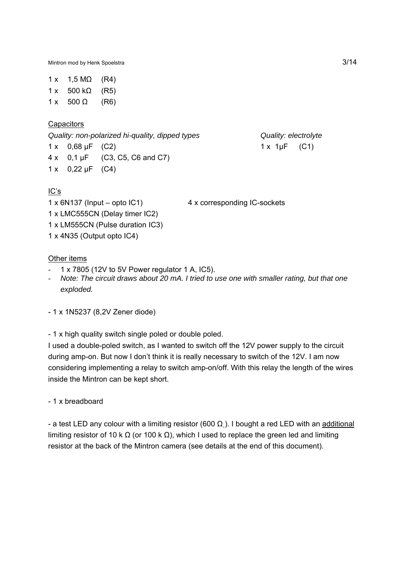Mintron mod by Henk Spoelstra 3/14

 $1 \times 1.5 M\Omega$  (R4)  $1 x 500 kΩ (R5)$  $1 \times 500 \Omega$  (R6)

**Capacitors** 

*Quality: non-polarized hi-quality, dipped types Quality: electrolyte*

1 x 0.68 uF (C2) 1 x 1 uF (C1) 4 x 0,1 µF (C3, C5, C6 and C7)

1 x 0,22 µF (C4)

# IC's

1 x 6N137 (Input – opto IC1) 4 x corresponding IC-sockets

1 x LMC555CN (Delay timer IC2) 1 x LM555CN (Pulse duration IC3)

1 x 4N35 (Output opto IC4)

# Other items

- 1 x 7805 (12V to 5V Power regulator 1 A, IC5).
- *Note: The circuit draws about 20 mA. I tried to use one with smaller rating, but that one exploded.*

- 1 x 1N5237 (8,2V Zener diode)

- 1 x high quality switch single poled or double poled.

I used a double-poled switch, as I wanted to switch off the 12V power supply to the circuit during amp-on. But now I don't think it is really necessary to switch of the 12V. I am now considering implementing a relay to switch amp-on/off. With this relay the length of the wires inside the Mintron can be kept short.

- 1 x breadboard

- a test LED any colour with a limiting resistor (600  $\Omega$ ). I bought a red LED with an additional limiting resistor of 10 k Ω (or 100 k Ω), which I used to replace the green led and limiting resistor at the back of the Mintron camera (see details at the end of this document).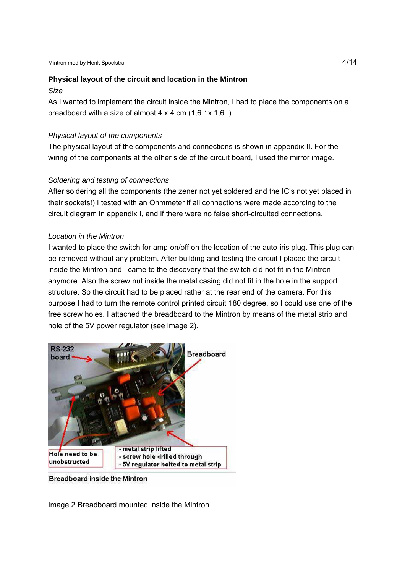# **Physical layout of the circuit and location in the Mintron**

### *Size*

As I wanted to implement the circuit inside the Mintron, I had to place the components on a breadboard with a size of almost  $4 \times 4$  cm  $(1.6 \div 1.6 \div).$ 

# *Physical layout of the components*

The physical layout of the components and connections is shown in appendix II. For the wiring of the components at the other side of the circuit board, I used the mirror image.

# *Soldering and testing of connections*

After soldering all the components (the zener not yet soldered and the IC's not yet placed in their sockets!) I tested with an Ohmmeter if all connections were made according to the circuit diagram in appendix I, and if there were no false short-circuited connections.

# *Location in the Mintron*

I wanted to place the switch for amp-on/off on the location of the auto-iris plug. This plug can be removed without any problem. After building and testing the circuit I placed the circuit inside the Mintron and I came to the discovery that the switch did not fit in the Mintron anymore. Also the screw nut inside the metal casing did not fit in the hole in the support structure. So the circuit had to be placed rather at the rear end of the camera. For this purpose I had to turn the remote control printed circuit 180 degree, so I could use one of the free screw holes. I attached the breadboard to the Mintron by means of the metal strip and hole of the 5V power regulator (see image 2).



Breadboard inside the Mintron

Image 2 Breadboard mounted inside the Mintron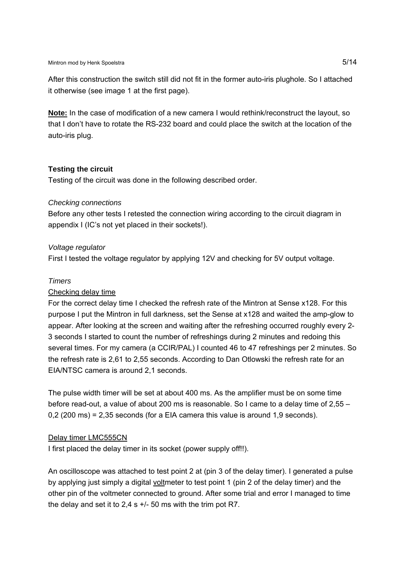After this construction the switch still did not fit in the former auto-iris plughole. So I attached it otherwise (see image 1 at the first page).

**Note:** In the case of modification of a new camera I would rethink/reconstruct the layout, so that I don't have to rotate the RS-232 board and could place the switch at the location of the auto-iris plug.

# **Testing the circuit**

Testing of the circuit was done in the following described order.

# *Checking connections*

Before any other tests I retested the connection wiring according to the circuit diagram in appendix I (IC's not yet placed in their sockets!).

# *Voltage regulator*

First I tested the voltage regulator by applying 12V and checking for 5V output voltage.

# *Timers*

# Checking delay time

For the correct delay time I checked the refresh rate of the Mintron at Sense x128. For this purpose I put the Mintron in full darkness, set the Sense at x128 and waited the amp-glow to appear. After looking at the screen and waiting after the refreshing occurred roughly every 2- 3 seconds I started to count the number of refreshings during 2 minutes and redoing this several times. For my camera (a CCIR/PAL) I counted 46 to 47 refreshings per 2 minutes. So the refresh rate is 2,61 to 2,55 seconds. According to Dan Otlowski the refresh rate for an EIA/NTSC camera is around 2,1 seconds.

The pulse width timer will be set at about 400 ms. As the amplifier must be on some time before read-out, a value of about 200 ms is reasonable. So I came to a delay time of 2,55 – 0,2 (200 ms) = 2,35 seconds (for a EIA camera this value is around 1,9 seconds).

# Delay timer LMC555CN

I first placed the delay timer in its socket (power supply off!!).

An oscilloscope was attached to test point 2 at (pin 3 of the delay timer). I generated a pulse by applying just simply a digital voltmeter to test point 1 (pin 2 of the delay timer) and the other pin of the voltmeter connected to ground. After some trial and error I managed to time the delay and set it to 2,4 s +/- 50 ms with the trim pot R7.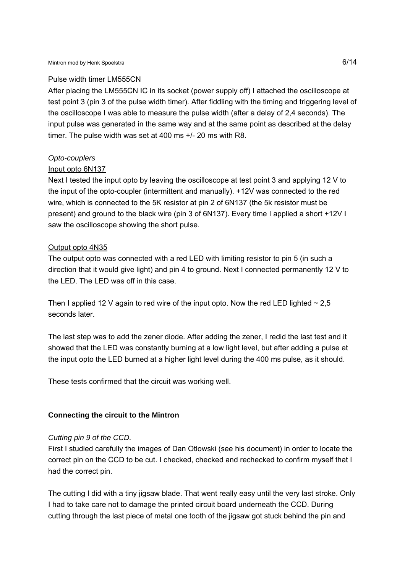## Pulse width timer LM555CN

After placing the LM555CN IC in its socket (power supply off) I attached the oscilloscope at test point 3 (pin 3 of the pulse width timer). After fiddling with the timing and triggering level of the oscilloscope I was able to measure the pulse width (after a delay of 2,4 seconds). The input pulse was generated in the same way and at the same point as described at the delay timer. The pulse width was set at 400 ms +/- 20 ms with R8.

# *Opto-couplers*

# Input opto 6N137

Next I tested the input opto by leaving the oscilloscope at test point 3 and applying 12 V to the input of the opto-coupler (intermittent and manually). +12V was connected to the red wire, which is connected to the 5K resistor at pin 2 of 6N137 (the 5k resistor must be present) and ground to the black wire (pin 3 of 6N137). Every time I applied a short +12V I saw the oscilloscope showing the short pulse.

## Output opto 4N35

The output opto was connected with a red LED with limiting resistor to pin 5 (in such a direction that it would give light) and pin 4 to ground. Next I connected permanently 12 V to the LED. The LED was off in this case.

Then I applied 12 V again to red wire of the input opto. Now the red LED lighted  $\sim$  2.5 seconds later.

The last step was to add the zener diode. After adding the zener, I redid the last test and it showed that the LED was constantly burning at a low light level, but after adding a pulse at the input opto the LED burned at a higher light level during the 400 ms pulse, as it should.

These tests confirmed that the circuit was working well.

# **Connecting the circuit to the Mintron**

### *Cutting pin 9 of the CCD.*

First I studied carefully the images of Dan Otlowski (see his document) in order to locate the correct pin on the CCD to be cut. I checked, checked and rechecked to confirm myself that I had the correct pin.

The cutting I did with a tiny jigsaw blade. That went really easy until the very last stroke. Only I had to take care not to damage the printed circuit board underneath the CCD. During cutting through the last piece of metal one tooth of the jigsaw got stuck behind the pin and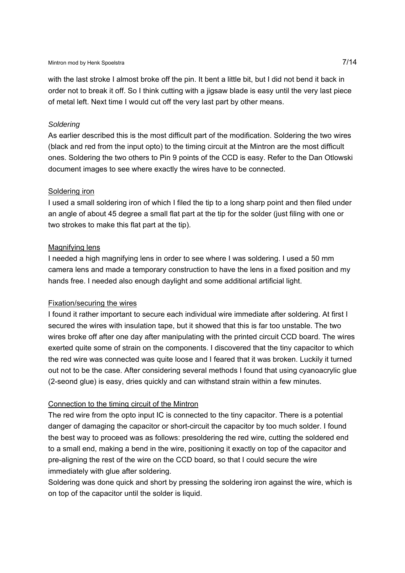with the last stroke I almost broke off the pin. It bent a little bit, but I did not bend it back in order not to break it off. So I think cutting with a jigsaw blade is easy until the very last piece of metal left. Next time I would cut off the very last part by other means.

## *Soldering*

As earlier described this is the most difficult part of the modification. Soldering the two wires (black and red from the input opto) to the timing circuit at the Mintron are the most difficult ones. Soldering the two others to Pin 9 points of the CCD is easy. Refer to the Dan Otlowski document images to see where exactly the wires have to be connected.

## Soldering iron

I used a small soldering iron of which I filed the tip to a long sharp point and then filed under an angle of about 45 degree a small flat part at the tip for the solder (just filing with one or two strokes to make this flat part at the tip).

# Magnifying lens

I needed a high magnifying lens in order to see where I was soldering. I used a 50 mm camera lens and made a temporary construction to have the lens in a fixed position and my hands free. I needed also enough daylight and some additional artificial light.

# Fixation/securing the wires

I found it rather important to secure each individual wire immediate after soldering. At first I secured the wires with insulation tape, but it showed that this is far too unstable. The two wires broke off after one day after manipulating with the printed circuit CCD board. The wires exerted quite some of strain on the components. I discovered that the tiny capacitor to which the red wire was connected was quite loose and I feared that it was broken. Luckily it turned out not to be the case. After considering several methods I found that using cyanoacrylic glue (2-seond glue) is easy, dries quickly and can withstand strain within a few minutes.

# Connection to the timing circuit of the Mintron

The red wire from the opto input IC is connected to the tiny capacitor. There is a potential danger of damaging the capacitor or short-circuit the capacitor by too much solder. I found the best way to proceed was as follows: presoldering the red wire, cutting the soldered end to a small end, making a bend in the wire, positioning it exactly on top of the capacitor and pre-aligning the rest of the wire on the CCD board, so that I could secure the wire immediately with glue after soldering.

Soldering was done quick and short by pressing the soldering iron against the wire, which is on top of the capacitor until the solder is liquid.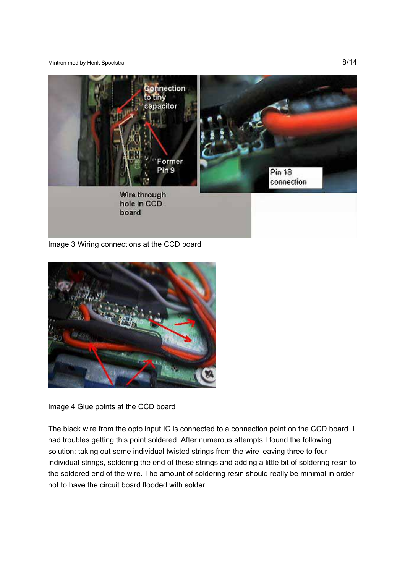Mintron mod by Henk Spoelstra 8/14



Image 3 Wiring connections at the CCD board



Image 4 Glue points at the CCD board

The black wire from the opto input IC is connected to a connection point on the CCD board. I had troubles getting this point soldered. After numerous attempts I found the following solution: taking out some individual twisted strings from the wire leaving three to four individual strings, soldering the end of these strings and adding a little bit of soldering resin to the soldered end of the wire. The amount of soldering resin should really be minimal in order not to have the circuit board flooded with solder.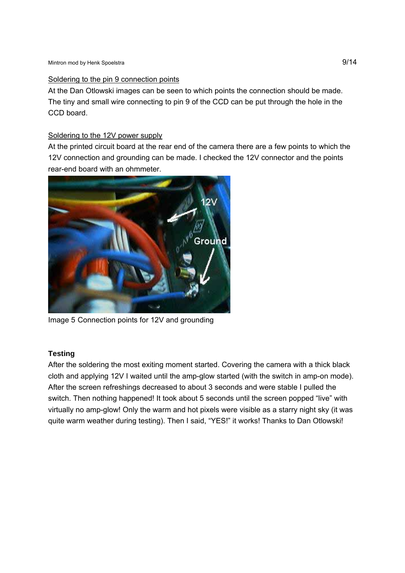## Soldering to the pin 9 connection points

At the Dan Otlowski images can be seen to which points the connection should be made. The tiny and small wire connecting to pin 9 of the CCD can be put through the hole in the CCD board.

# Soldering to the 12V power supply

At the printed circuit board at the rear end of the camera there are a few points to which the 12V connection and grounding can be made. I checked the 12V connector and the points rear-end board with an ohmmeter.



Image 5 Connection points for 12V and grounding

# **Testing**

After the soldering the most exiting moment started. Covering the camera with a thick black cloth and applying 12V I waited until the amp-glow started (with the switch in amp-on mode). After the screen refreshings decreased to about 3 seconds and were stable I pulled the switch. Then nothing happened! It took about 5 seconds until the screen popped "live" with virtually no amp-glow! Only the warm and hot pixels were visible as a starry night sky (it was quite warm weather during testing). Then I said, "YES!" it works! Thanks to Dan Otlowski!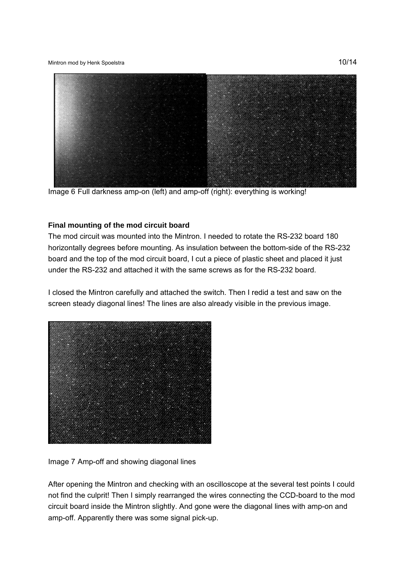Mintron mod by Henk Spoelstra **10/14** 



Image 6 Full darkness amp-on (left) and amp-off (right): everything is working!

# **Final mounting of the mod circuit board**

The mod circuit was mounted into the Mintron. I needed to rotate the RS-232 board 180 horizontally degrees before mounting. As insulation between the bottom-side of the RS-232 board and the top of the mod circuit board, I cut a piece of plastic sheet and placed it just under the RS-232 and attached it with the same screws as for the RS-232 board.

I closed the Mintron carefully and attached the switch. Then I redid a test and saw on the screen steady diagonal lines! The lines are also already visible in the previous image.



Image 7 Amp-off and showing diagonal lines

After opening the Mintron and checking with an oscilloscope at the several test points I could not find the culprit! Then I simply rearranged the wires connecting the CCD-board to the mod circuit board inside the Mintron slightly. And gone were the diagonal lines with amp-on and amp-off. Apparently there was some signal pick-up.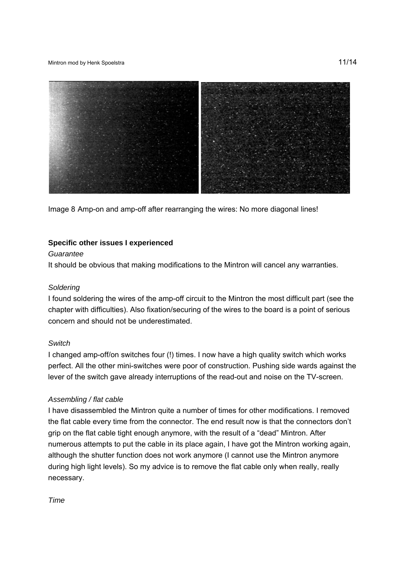#### Mintron mod by Henk Spoelstra **11/14**



Image 8 Amp-on and amp-off after rearranging the wires: No more diagonal lines!

# **Specific other issues I experienced**

### *Guarantee*

It should be obvious that making modifications to the Mintron will cancel any warranties.

## *Soldering*

I found soldering the wires of the amp-off circuit to the Mintron the most difficult part (see the chapter with difficulties). Also fixation/securing of the wires to the board is a point of serious concern and should not be underestimated.

# *Switch*

I changed amp-off/on switches four (!) times. I now have a high quality switch which works perfect. All the other mini-switches were poor of construction. Pushing side wards against the lever of the switch gave already interruptions of the read-out and noise on the TV-screen.

# *Assembling / flat cable*

I have disassembled the Mintron quite a number of times for other modifications. I removed the flat cable every time from the connector. The end result now is that the connectors don't grip on the flat cable tight enough anymore, with the result of a "dead" Mintron. After numerous attempts to put the cable in its place again, I have got the Mintron working again, although the shutter function does not work anymore (I cannot use the Mintron anymore during high light levels). So my advice is to remove the flat cable only when really, really necessary.

*Time*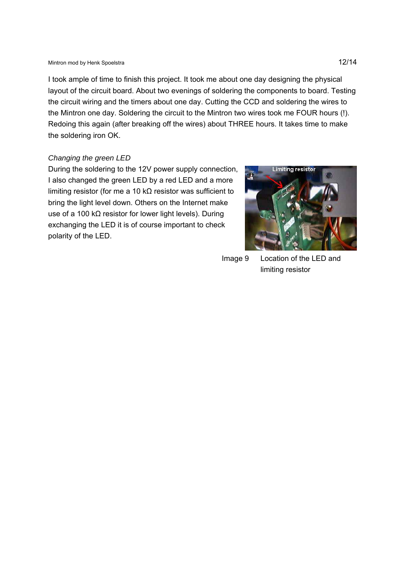I took ample of time to finish this project. It took me about one day designing the physical layout of the circuit board. About two evenings of soldering the components to board. Testing the circuit wiring and the timers about one day. Cutting the CCD and soldering the wires to the Mintron one day. Soldering the circuit to the Mintron two wires took me FOUR hours (!). Redoing this again (after breaking off the wires) about THREE hours. It takes time to make the soldering iron OK.

### *Changing the green LED*

During the soldering to the 12V power supply connection, I also changed the green LED by a red LED and a more limiting resistor (for me a 10 kΩ resistor was sufficient to bring the light level down. Others on the Internet make use of a 100 k $\Omega$  resistor for lower light levels). During exchanging the LED it is of course important to check polarity of the LED.



 Image 9 Location of the LED and limiting resistor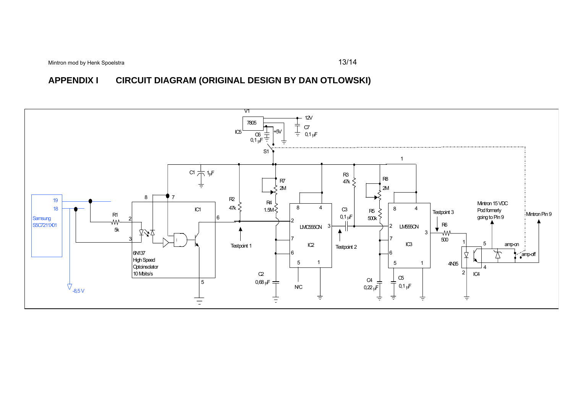Mintron mod by Henk Spoelstra **13/14** 

**APPENDIX I CIRCUIT DIAGRAM (ORIGINAL DESIGN BY DAN OTLOWSKI)**